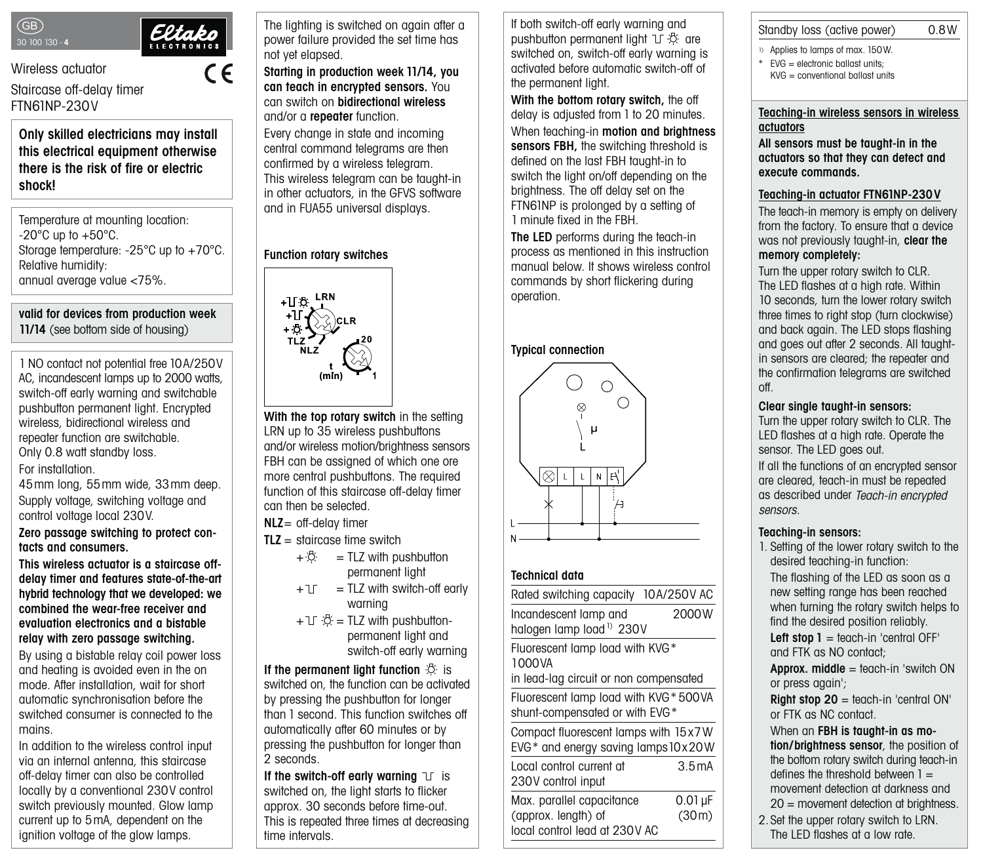



 $\epsilon$ 

Wireless actuator

Staircase off-delay timer FTN61NP-230V

**Only skilled electricians may install this electrical equipment otherwise there is the risk of fire or electric shock!**

Temperature at mounting location:  $-20^{\circ}$ C up to  $+50^{\circ}$ C. Storage temperature: -25°C up to +70°C. Relative humidity: annual average value <75%.

**valid for devices from production week 11/14** (see bottom side of housing)

1 NO contact not potential free 10A/250V AC, incandescent lamps up to 2000 watts, switch-off early warning and switchable pushbutton permanent light. Encrypted wireless, bidirectional wireless and repeater function are switchable. Only 0.8 watt standby loss.

For installation.

45mm long, 55mm wide, 33mm deep. Supply voltage, switching voltage and control voltage local 230V.

**Zero passage switching to protect contacts and consumers.**

#### **This wireless actuator is a staircase offdelay timer and features state-of-the-art hybrid technology that we developed: we combined the wear-free receiver and evaluation electronics and a bistable relay with zero passage switching.**

By using a bistable relay coil power loss and heating is avoided even in the on mode. After installation, wait for short automatic synchronisation before the switched consumer is connected to the mains.

In addition to the wireless control input via an internal antenna, this staircase off-delay timer can also be controlled locally by a conventional 230V control switch previously mounted. Glow lamp current up to 5mA, dependent on the ignition voltage of the glow lamps.

The limit is defined in the limit of the limit is defined in the limit of the limit of the limit of the limit

The lighting is switched on again after a power failure provided the set time has not yet elapsed.

ignition voltage of the glow lamps.

#### **Starting in production week 11/14, you can teach in encrypted sensors.** You can switch on **bidirectional wireless** and/or a **repeater** function.

Every change in state and incoming central command telegrams are then confirmed by a wireless telegram. This wireless telegram can be taught-in in other actuators, in the GFVS software and in FUA55 universal displays.

## **Function rotary switches**



**With the top rotary switch** in the setting LRN up to 35 wireless pushbuttons and/or wireless motion/brightness sensors FBH can be assigned of which one ore more central pushbuttons. The required function of this staircase off-delay timer can then be selected.

**NLZ**= off-delay timer

- **TLZ** = staircase time switch
	- $+ \ddot{\heartsuit} = TLZ$  with pushbutton permanent light
	- $+1$  = TLZ with switch-off early warning
	- $+$  T $\cdot$  $\ddot{\circ}$  = TLZ with pushbuttonpermanent light and switch-off early warning

**If the permanent light function**  $\ddot{\odot}$  is

switched on, the function can be activated by pressing the pushbutton for longer than 1 second. This function switches off automatically after 60 minutes or by pressing the pushbutton for longer than 2 seconds.

**If the switch-off early warning**  $\mathbb{I}$  is switched on, the light starts to flicker approx. 30 seconds before time-out. This is repeated three times at decreasing time intervals.

If both switch-off early warning and pushbutton permanent light  $\mathbb{T} \mathbb{R}$  are switched on, switch-off early warning is activated before automatic switch-off of the permanent light.

**With the bottom rotary switch,** the off delay is adjusted from 1 to 20 minutes. When teaching-in **motion and brightness sensors FBH,** the switching threshold is defined on the last FBH taught-in to switch the light on/off depending on the brightness. The off delay set on the FTN61NP is prolonged by a setting of 1 minute fixed in the FBH.

**The LED** performs during the teach-in process as mentioned in this instruction manual below. It shows wireless control commands by short flickering during operation.

# **Typical connection**



## **Technical data**

Standby loss (active power) 0 8W

# Standby loss (active power) 0.8W

- 1) Applies to lamps of max. 150W.
- \* EVG = electronic ballast units;
	- KVG = conventional ballast units

local control lead at 230V AC

#### **Teaching-in wireless sensors in wireless actuators**

**All sensors must be taught-in in the actuators so that they can detect and execute commands.**

#### **Teaching-in actuator FTN61NP-230V**

The teach-in memory is empty on delivery from the factory. To ensure that a device was not previously taught-in, **clear the memory completely:**

Turn the upper rotary switch to CLR. The LED flashes at a high rate. Within 10 seconds, turn the lower rotary switch three times to right stop (turn clockwise) and back again. The LED stops flashing and goes out after 2 seconds. All taughtin sensors are cleared; the repeater and the confirmation telegrams are switched off.

## **Clear single taught-in sensors:**

Turn the upper rotary switch to CLR. The LED flashes at a high rate. Operate the sensor. The LED goes out.

If all the functions of an encrypted sensor are cleared, teach-in must be repeated as described under Teach-in encrypted sensors.

## **Teaching-in sensors:**

1. Setting of the lower rotary switch to the desired teaching-in function: The flashing of the LED as soon as a new setting range has been reached when turning the rotary switch helps to find the desired position reliably.

Left stop 1 = teach-in 'central OFF' and FTK as NO contact;

**Approx. middle** = teach-in 'switch ON or press again';

**Right stop 20** = teach-in 'central ON' or FTK as NC contact.

When an **FBH is taught-in as motion/brightness sensor**, the position of the bottom rotary switch during teach-in defines the threshold between  $1 =$ movement detection at darkness and 20 = movement detection at brightness.

2.Set the upper rotary switch to LRN. The LED flashes at a low rate.